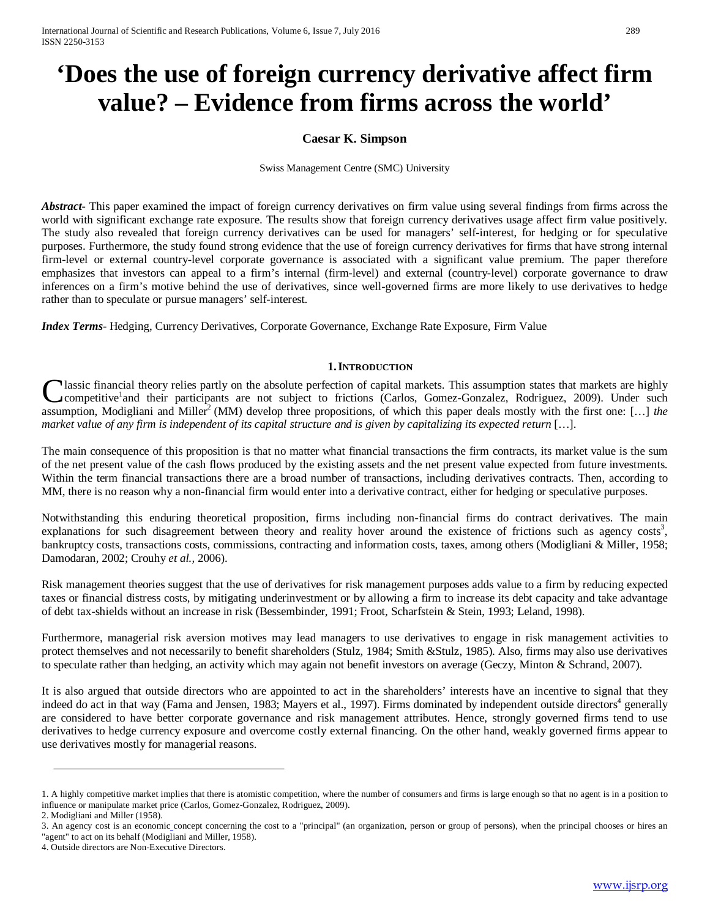# **'Does the use of foreign currency derivative affect firm value? – Evidence from firms across the world'**

# **Caesar K. Simpson**

Swiss Management Centre (SMC) University

*Abstract***-** This paper examined the impact of foreign currency derivatives on firm value using several findings from firms across the world with significant exchange rate exposure. The results show that foreign currency derivatives usage affect firm value positively. The study also revealed that foreign currency derivatives can be used for managers' self-interest, for hedging or for speculative purposes. Furthermore, the study found strong evidence that the use of foreign currency derivatives for firms that have strong internal firm-level or external country-level corporate governance is associated with a significant value premium. The paper therefore emphasizes that investors can appeal to a firm's internal (firm-level) and external (country-level) corporate governance to draw inferences on a firm's motive behind the use of derivatives, since well-governed firms are more likely to use derivatives to hedge rather than to speculate or pursue managers' self-interest.

*Index Terms*- Hedging, Currency Derivatives, Corporate Governance, Exchange Rate Exposure, Firm Value

#### **1.INTRODUCTION**

lassic financial theory relies partly on the absolute perfection of capital markets. This assumption states that markets are highly competitive<sup>1</sup>and their participants are not subject to frictions (Carlos, Gomez-Gonzalez, Rodriguez, 2009). Under such **C**lassic financial theory relies partly on the absolute perfection of capital markets. This assumption states that markets are highly competitive<sup>1</sup> and their participants are not subject to frictions (Carlos, Gomez-Gonza *market value of any firm is independent of its capital structure and is given by capitalizing its expected return* [...].

The main consequence of this proposition is that no matter what financial transactions the firm contracts, its market value is the sum of the net present value of the cash flows produced by the existing assets and the net present value expected from future investments. Within the term financial transactions there are a broad number of transactions, including derivatives contracts. Then, according to MM, there is no reason why a non-financial firm would enter into a derivative contract, either for hedging or speculative purposes.

Notwithstanding this enduring theoretical proposition, firms including non-financial firms do contract derivatives. The main explanations for such disagreement between theory and reality hover around the existence of frictions such as agency costs<sup>3</sup>, bankruptcy costs, transactions costs, commissions, contracting and information costs, taxes, among others (Modigliani & Miller, 1958; Damodaran, 2002; Crouhy *et al.,* 2006).

Risk management theories suggest that the use of derivatives for risk management purposes adds value to a firm by reducing expected taxes or financial distress costs, by mitigating underinvestment or by allowing a firm to increase its debt capacity and take advantage of debt tax-shields without an increase in risk (Bessembinder, 1991; Froot, Scharfstein & Stein, 1993; Leland, 1998).

Furthermore, managerial risk aversion motives may lead managers to use derivatives to engage in risk management activities to protect themselves and not necessarily to benefit shareholders (Stulz, 1984; Smith &Stulz, 1985). Also, firms may also use derivatives to speculate rather than hedging, an activity which may again not benefit investors on average (Geczy, Minton & Schrand, 2007).

It is also argued that outside directors who are appointed to act in the shareholders' interests have an incentive to signal that they indeed do act in that way (Fama and Jensen, 1983; Mayers et al., 1997). Firms dominated by independent outside directors<sup>4</sup> generally are considered to have better corporate governance and risk management attributes. Hence, strongly governed firms tend to use derivatives to hedge currency exposure and overcome costly external financing. On the other hand, weakly governed firms appear to use derivatives mostly for managerial reasons.

<sup>1.</sup> A highly competitive market implies that there is atomistic competition, where the number of consumers and firms is large enough so that no agent is in a position to influence or manipulate market price (Carlos, Gomez-Gonzalez, Rodriguez, 2009).

<sup>2.</sup> Modigliani and Miller (1958).

<sup>3.</sup> An agency cost is an [economic](http://en.wikipedia.org/wiki/Economics) concept concerning the cost to a ["principal"](http://en.wikipedia.org/wiki/Principal_%28commercial_law%29) (an organization, person or group of persons), when the principal chooses or hires an ["agent"](http://en.wikipedia.org/wiki/Agent_%28economics%29) to act on its behalf (Modigliani and Miller, 1958).

<sup>4.</sup> Outside directors are Non-Executive Directors.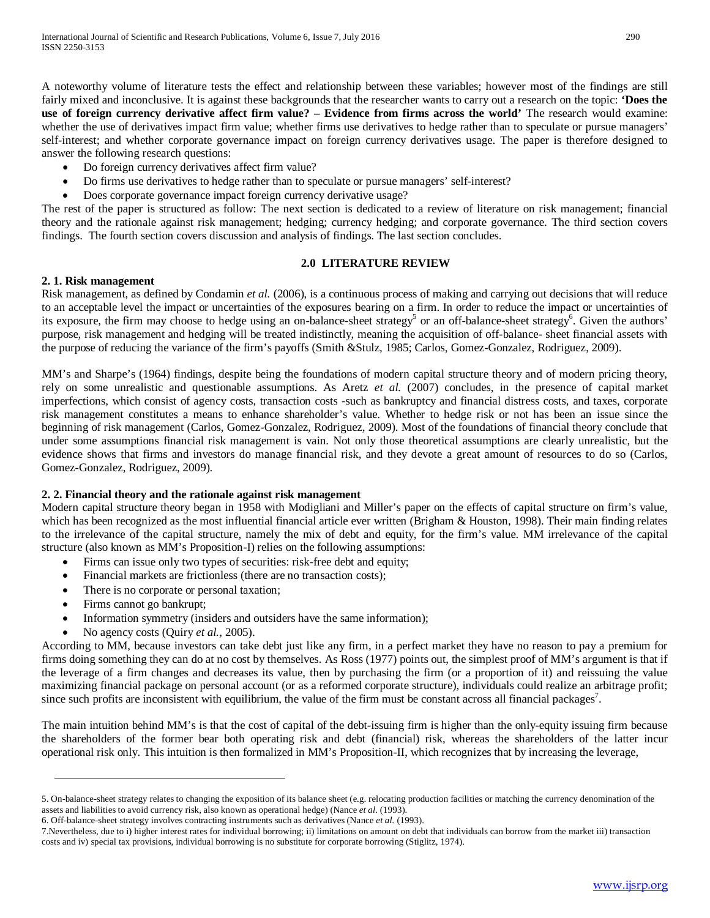A noteworthy volume of literature tests the effect and relationship between these variables; however most of the findings are still fairly mixed and inconclusive. It is against these backgrounds that the researcher wants to carry out a research on the topic: **'Does the use of foreign currency derivative affect firm value? – Evidence from firms across the world'** The research would examine: whether the use of derivatives impact firm value; whether firms use derivatives to hedge rather than to speculate or pursue managers' self-interest; and whether corporate governance impact on foreign currency derivatives usage. The paper is therefore designed to answer the following research questions:

- Do foreign currency derivatives affect firm value?
- Do firms use derivatives to hedge rather than to speculate or pursue managers' self-interest?
- Does corporate governance impact foreign currency derivative usage?

The rest of the paper is structured as follow: The next section is dedicated to a review of literature on risk management; financial theory and the rationale against risk management; hedging; currency hedging; and corporate governance. The third section covers findings. The fourth section covers discussion and analysis of findings. The last section concludes.

## **2.0 LITERATURE REVIEW**

## **2. 1. Risk management**

Risk management, as defined by Condamin *et al.* (2006), is a continuous process of making and carrying out decisions that will reduce to an acceptable level the impact or uncertainties of the exposures bearing on a firm. In order to reduce the impact or uncertainties of its exposure, the firm may choose to hedge using an on-balance-sheet strategy<sup>5</sup> or an off-balance-sheet strategy<sup>6</sup>. Given the authors' purpose, risk management and hedging will be treated indistinctly, meaning the acquisition of off-balance- sheet financial assets with the purpose of reducing the variance of the firm's payoffs (Smith &Stulz, 1985; Carlos, Gomez-Gonzalez, Rodriguez, 2009).

MM's and Sharpe's (1964) findings, despite being the foundations of modern capital structure theory and of modern pricing theory, rely on some unrealistic and questionable assumptions. As Aretz *et al.* (2007) concludes, in the presence of capital market imperfections, which consist of agency costs, transaction costs -such as bankruptcy and financial distress costs, and taxes, corporate risk management constitutes a means to enhance shareholder's value. Whether to hedge risk or not has been an issue since the beginning of risk management (Carlos, Gomez-Gonzalez, Rodriguez, 2009). Most of the foundations of financial theory conclude that under some assumptions financial risk management is vain. Not only those theoretical assumptions are clearly unrealistic, but the evidence shows that firms and investors do manage financial risk, and they devote a great amount of resources to do so (Carlos, Gomez-Gonzalez, Rodriguez, 2009).

# **2. 2. Financial theory and the rationale against risk management**

Modern capital structure theory began in 1958 with Modigliani and Miller's paper on the effects of capital structure on firm's value, which has been recognized as the most influential financial article ever written (Brigham & Houston, 1998). Their main finding relates to the irrelevance of the capital structure, namely the mix of debt and equity, for the firm's value. MM irrelevance of the capital structure (also known as MM's Proposition-I) relies on the following assumptions:

- Firms can issue only two types of securities: risk-free debt and equity;
- Financial markets are frictionless (there are no transaction costs);
- There is no corporate or personal taxation;
- Firms cannot go bankrupt;
- Information symmetry (insiders and outsiders have the same information);
- No agency costs (Quiry *et al.,* 2005).

According to MM, because investors can take debt just like any firm, in a perfect market they have no reason to pay a premium for firms doing something they can do at no cost by themselves. As Ross (1977) points out, the simplest proof of MM's argument is that if the leverage of a firm changes and decreases its value, then by purchasing the firm (or a proportion of it) and reissuing the value maximizing financial package on personal account (or as a reformed corporate structure), individuals could realize an arbitrage profit; since such profits are inconsistent with equilibrium, the value of the firm must be constant across all financial packages<sup>7</sup>.

The main intuition behind MM's is that the cost of capital of the debt-issuing firm is higher than the only-equity issuing firm because the shareholders of the former bear both operating risk and debt (financial) risk, whereas the shareholders of the latter incur operational risk only. This intuition is then formalized in MM's Proposition-II, which recognizes that by increasing the leverage,

<sup>5.</sup> On-balance-sheet strategy relates to changing the exposition of its balance sheet (e.g. relocating production facilities or matching the currency denomination of the assets and liabilities to avoid currency risk, also known as operational hedge) (Nance *et al.* (1993).

<sup>6.</sup> Off-balance-sheet strategy involves contracting instruments such as derivatives (Nance *et al.* (1993).

<sup>7.</sup>Nevertheless, due to i) higher interest rates for individual borrowing; ii) limitations on amount on debt that individuals can borrow from the market iii) transaction costs and iv) special tax provisions, individual borrowing is no substitute for corporate borrowing (Stiglitz, 1974).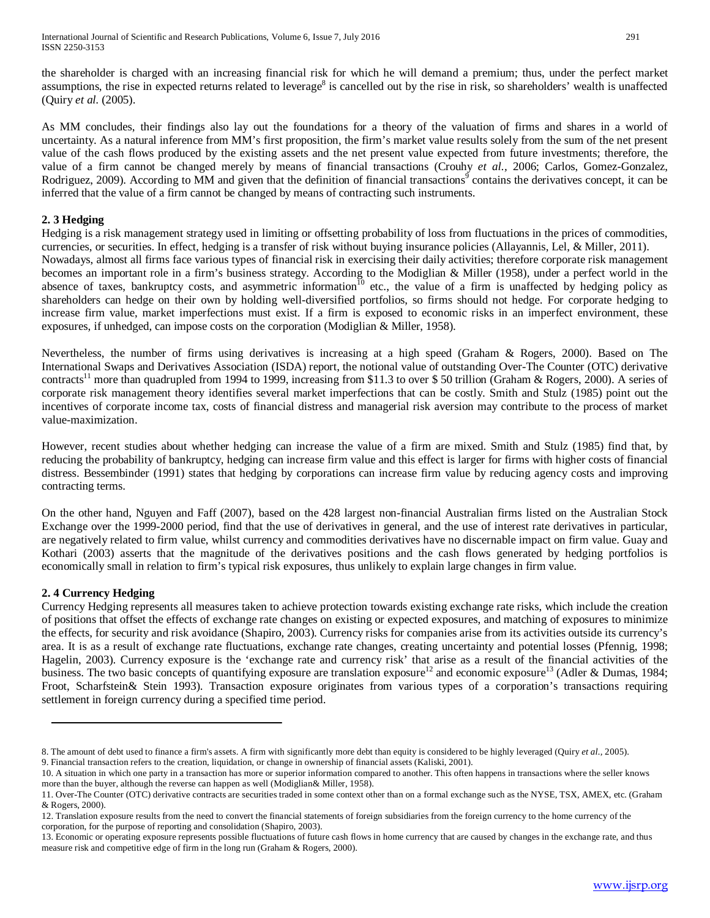the shareholder is charged with an increasing financial risk for which he will demand a premium; thus, under the perfect market assumptions, the rise in expected returns related to leverage<sup>8</sup> is cancelled out by the rise in risk, so shareholders' wealth is unaffected (Quiry *et al.* (2005).

As MM concludes, their findings also lay out the foundations for a theory of the valuation of firms and shares in a world of uncertainty. As a natural inference from MM's first proposition, the firm's market value results solely from the sum of the net present value of the cash flows produced by the existing assets and the net present value expected from future investments; therefore, the value of a firm cannot be changed merely by means of financial transactions (Crouhy *et al.,* 2006; Carlos, Gomez-Gonzalez, Rodriguez, 2009). According to MM and given that the definition of financial transactions<sup>9</sup> contains the derivatives concept, it can be inferred that the value of a firm cannot be changed by means of contracting such instruments.

# **2. 3 Hedging**

Hedging is a [risk management strategy](http://www.businessdictionary.com/definition/risk-management.html) used in limiting or offsetting [probability](http://www.businessdictionary.com/definition/probability.html) of [loss](http://www.businessdictionary.com/definition/capital-gain-loss-holding-period.html) from [fluctuations](http://www.businessdictionary.com/definition/fluctuation.html) in th[e prices](http://www.businessdictionary.com/definition/price.html) of [commodities,](http://www.businessdictionary.com/definition/commodity.html)  [currencies,](http://www.businessdictionary.com/definition/currency.html) or [securities.](http://www.businessdictionary.com/definition/securities.html) In effect, hedging is a [transfer of risk](http://www.businessdictionary.com/definition/risk-transfer.html) without [buying](http://www.businessdictionary.com/definition/buyer.html) [insurance policies](http://www.businessdictionary.com/definition/insurance-policy.html) (Allayannis, Lel, & Miller, 2011). Nowadays, almost all firms face various types of financial risk in exercising their daily activities; therefore corporate risk management becomes an important role in a firm's business strategy. According to the Modiglian & Miller (1958), under a perfect world in the absence of taxes, bankruptcy costs, and asymmetric information<sup>10</sup> etc., the value of a firm is unaffected by hedging policy as shareholders can hedge on their own by holding well-diversified portfolios, so firms should not hedge. For corporate hedging to increase firm value, market imperfections must exist. If a firm is exposed to economic risks in an imperfect environment, these exposures, if unhedged, can impose costs on the corporation (Modiglian & Miller, 1958).

Nevertheless, the number of firms using derivatives is increasing at a high speed (Graham & Rogers, 2000). Based on The International Swaps and Derivatives Association (ISDA) report, the notional value of outstanding Over-The Counter (OTC) derivative contracts<sup>11</sup> more than quadrupled from 1994 to 1999, increasing from \$11.3 to over \$50 trillion (Graham & Rogers, 2000). A series of corporate risk management theory identifies several market imperfections that can be costly. Smith and Stulz (1985) point out the incentives of corporate income tax, costs of financial distress and managerial risk aversion may contribute to the process of market value-maximization.

However, recent studies about whether hedging can increase the value of a firm are mixed. Smith and Stulz (1985) find that, by reducing the probability of bankruptcy, hedging can increase firm value and this effect is larger for firms with higher costs of financial distress. Bessembinder (1991) states that hedging by corporations can increase firm value by reducing agency costs and improving contracting terms.

On the other hand, Nguyen and Faff (2007), based on the 428 largest non-financial Australian firms listed on the Australian Stock Exchange over the 1999-2000 period, find that the use of derivatives in general, and the use of interest rate derivatives in particular, are negatively related to firm value, whilst currency and commodities derivatives have no discernable impact on firm value. Guay and Kothari (2003) asserts that the magnitude of the derivatives positions and the cash flows generated by hedging portfolios is economically small in relation to firm's typical risk exposures, thus unlikely to explain large changes in firm value.

# **2. 4 Currency Hedging**

Currency Hedging represents all measures taken to achieve protection towards existing exchange rate risks, which include the creation of positions that offset the effects of exchange rate changes on existing or expected exposures, and matching of exposures to minimize the effects, for security and risk avoidance (Shapiro, 2003). Currency risks for companies arise from its activities outside its currency's area. It is as a result of exchange rate fluctuations, exchange rate changes, creating uncertainty and potential losses (Pfennig, 1998; Hagelin, 2003). Currency exposure is the 'exchange rate and currency risk' that arise as a result of the financial activities of the business. The two basic concepts of quantifying exposure are translation exposure<sup>12</sup> and economic exposure<sup>13</sup> (Adler & Dumas, 1984; Froot, Scharfstein& Stein 1993). Transaction exposure originates from various types of a corporation's transactions requiring settlement in foreign currency during a specified time period.

9. Financial transaction refers to the creation, liquidation, or change in ownership of financial assets (Kaliski, 2001).

<sup>8.</sup> The amount of debt used to finance a firm's assets. A firm with significantly more debt than equity is considered to be highly leveraged (Quiry *et al.,* 2005).

<sup>10.</sup> A situation in which one party in a transaction has more or superior information compared to another. This often happens in transactions where the seller knows more than the buyer, although the reverse can happen as well (Modiglian& Miller, 1958).

<sup>11.</sup> Over-The Counter (OTC) derivative contracts are securities traded in some context other than on a formal exchange such as the NYSE, TSX, AMEX, etc. (Graham & Rogers, 2000).

<sup>12.</sup> Translation exposure results from the need to convert the financial statements of foreign subsidiaries from the foreign currency to the home currency of the corporation, for the purpose of reporting and consolidation (Shapiro, 2003).

<sup>13.</sup> Economic or operating exposure represents possible fluctuations of future cash flows in home currency that are caused by changes in the exchange rate, and thus measure risk and competitive edge of firm in the long run (Graham & Rogers, 2000).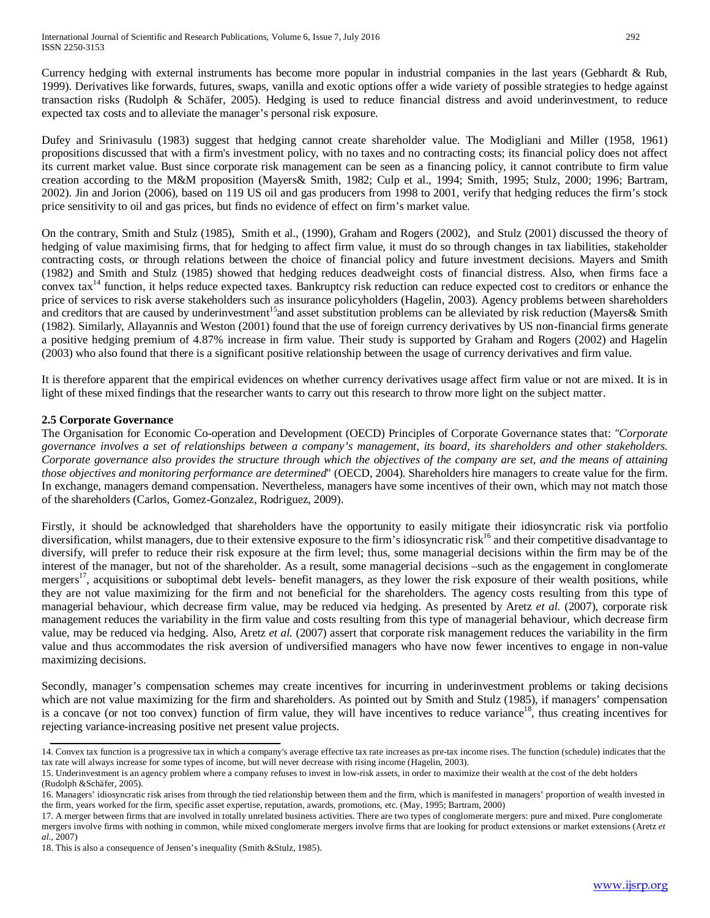Currency hedging with external instruments has become more popular in industrial companies in the last years (Gebhardt & Rub, 1999). Derivatives like forwards, futures, swaps, vanilla and exotic options offer a wide variety of possible strategies to hedge against transaction risks (Rudolph & Schäfer, 2005). Hedging is used to reduce financial distress and avoid underinvestment, to reduce expected tax costs and to alleviate the manager's personal risk exposure.

Dufey and Srinivasulu (1983) suggest that hedging cannot create shareholder value. The Modigliani and Miller (1958, 1961) propositions discussed that with a firm's investment policy, with no taxes and no contracting costs; its financial policy does not affect its current market value. Bust since corporate risk management can be seen as a financing policy, it cannot contribute to firm value creation according to the M&M proposition (Mayers& Smith, 1982; Culp et al., 1994; Smith, 1995; Stulz, 2000; 1996; Bartram, 2002). Jin and Jorion (2006), based on 119 US oil and gas producers from 1998 to 2001, verify that hedging reduces the firm's stock price sensitivity to oil and gas prices, but finds no evidence of effect on firm's market value.

On the contrary, Smith and Stulz (1985), Smith et al., (1990), Graham and Rogers (2002), and Stulz (2001) discussed the theory of hedging of value maximising firms, that for hedging to affect firm value, it must do so through changes in tax liabilities, stakeholder contracting costs, or through relations between the choice of financial policy and future investment decisions. Mayers and Smith (1982) and Smith and Stulz (1985) showed that hedging reduces deadweight costs of financial distress. Also, when firms face a convex tax<sup>14</sup> function, it helps reduce expected taxes. Bankruptcy risk reduction can reduce expected cost to creditors or enhance the price of services to risk averse stakeholders such as insurance policyholders (Hagelin, 2003). Agency problems between shareholders and creditors that are caused by underinvestment<sup>15</sup>and asset substitution problems can be alleviated by risk reduction (Mayers& Smith (1982). Similarly, Allayannis and Weston (2001) found that the use of foreign currency derivatives by US non-financial firms generate a positive hedging premium of 4.87% increase in firm value. Their study is supported by Graham and Rogers (2002) and Hagelin (2003) who also found that there is a significant positive relationship between the usage of currency derivatives and firm value.

It is therefore apparent that the empirical evidences on whether currency derivatives usage affect firm value or not are mixed. It is in light of these mixed findings that the researcher wants to carry out this research to throw more light on the subject matter.

# **2.5 Corporate Governance**

The Organisation for Economic Co-operation and Development (OECD) Principles of Corporate Governance states that: *"Corporate governance involves a set of relationships between a company's management, its board, its shareholders and other stakeholders. Corporate governance also provides the structure through which the objectives of the company are set, and the means of attaining those objectives and monitoring performance are determined*" (OECD, 2004). Shareholders hire managers to create value for the firm. In exchange, managers demand compensation. Nevertheless, managers have some incentives of their own, which may not match those of the shareholders (Carlos, Gomez-Gonzalez, Rodriguez, 2009).

Firstly, it should be acknowledged that shareholders have the opportunity to easily mitigate their idiosyncratic risk via portfolio diversification, whilst managers, due to their extensive exposure to the firm's idiosyncratic risk<sup>16</sup> and their competitive disadvantage to diversify, will prefer to reduce their risk exposure at the firm level; thus, some managerial decisions within the firm may be of the interest of the manager, but not of the shareholder. As a result, some managerial decisions –such as the engagement in conglomerate mergers<sup>17</sup>, acquisitions or suboptimal debt levels- benefit managers, as they lower the risk exposure of their wealth positions, while they are not value maximizing for the firm and not beneficial for the shareholders. The agency costs resulting from this type of managerial behaviour, which decrease firm value, may be reduced via hedging. As presented by Aretz *et al.* (2007), corporate risk management reduces the variability in the firm value and costs resulting from this type of managerial behaviour, which decrease firm value, may be reduced via hedging. Also, Aretz *et al.* (2007) assert that corporate risk management reduces the variability in the firm value and thus accommodates the risk aversion of undiversified managers who have now fewer incentives to engage in non-value maximizing decisions.

Secondly, manager's compensation schemes may create incentives for incurring in underinvestment problems or taking decisions which are not value maximizing for the firm and shareholders. As pointed out by Smith and Stulz (1985), if managers' compensation is a concave (or not too convex) function of firm value, they will have incentives to reduce variance<sup>18</sup>, thus creating incentives for rejecting variance-increasing positive net present value projects.

<sup>14.</sup> Convex tax function is a [progressive tax](http://www.businessdictionary.com/definition/progressive-tax.html) in which a [company's](http://www.businessdictionary.com/definition/company.html) [average](http://www.businessdictionary.com/definition/average.html) [effective tax rate](http://www.businessdictionary.com/definition/effective-tax-rate.html) increases a[s pre-tax income](http://www.businessdictionary.com/definition/pre-tax-income.html) rises. The function (schedule) indicates that the [tax rate](http://www.businessdictionary.com/definition/tax-rate.html) will always increase for some [types](http://www.businessdictionary.com/definition/type.html) o[f income,](http://www.businessdictionary.com/definition/income.html) but will never decrease with rising income (Hagelin, 2003).

<sup>15.</sup> Underinvestment is an agency problem where a company refuses to invest in low-risk assets, in order to maximize their wealth at the cost of the debt holders

<sup>(</sup>Rudolph &Schäfer, 2005).

<sup>16.</sup> Managers' idiosyncratic risk arises from through the tied relationship between them and the firm, which is manifested in managers' proportion of wealth invested in the firm, years worked for the firm, specific asset expertise, reputation, awards, promotions, etc. (May, 1995; Bartram, 2000)

<sup>17.</sup> A merger between firms that are involved in totally unrelated business activities. There are two types of conglomerate mergers: pure and mixed. Pure conglomerate mergers involve firms with nothing in common, while mixed conglomerate mergers involve firms that are looking for product extensions or market extensions (Aretz *et al.,* 2007)

<sup>18.</sup> This is also a consequence of Jensen's inequality (Smith &Stulz, 1985).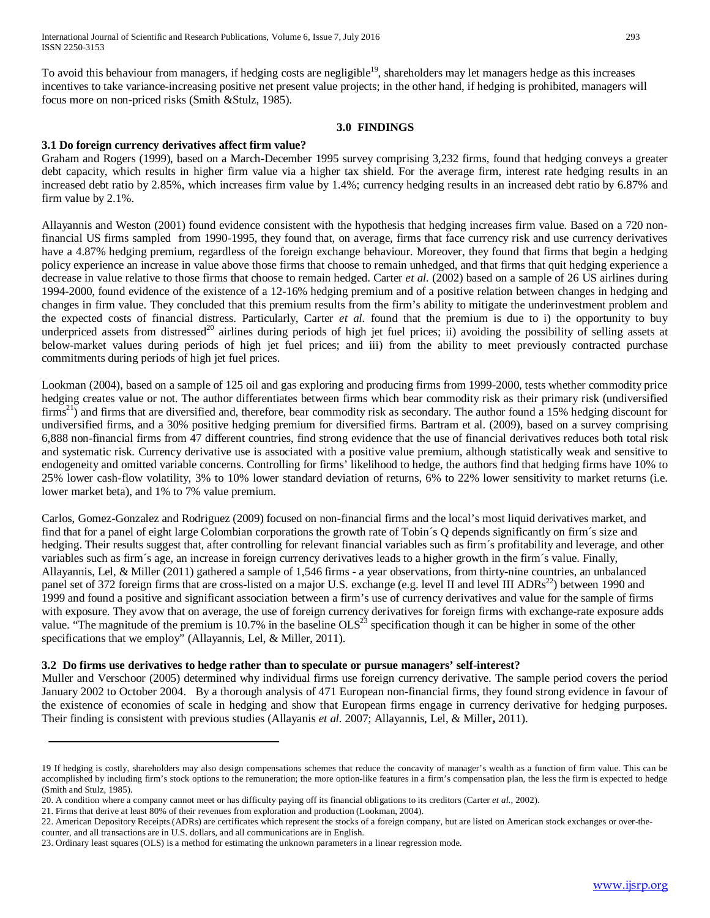To avoid this behaviour from managers, if hedging costs are negligible<sup>19</sup>, shareholders may let managers hedge as this increases incentives to take variance-increasing positive net present value projects; in the other hand, if hedging is prohibited, managers will focus more on non-priced risks (Smith &Stulz, 1985).

#### **3.0 FINDINGS**

# **3.1 Do foreign currency derivatives affect firm value?**

Graham and Rogers (1999), based on a March-December 1995 survey comprising 3,232 firms, found that hedging conveys a greater debt capacity, which results in higher firm value via a higher tax shield. For the average firm, interest rate hedging results in an increased debt ratio by 2.85%, which increases firm value by 1.4%; currency hedging results in an increased debt ratio by 6.87% and firm value by 2.1%.

Allayannis and Weston (2001) found evidence consistent with the hypothesis that hedging increases firm value. Based on a 720 nonfinancial US firms sampled from 1990-1995, they found that, on average, firms that face currency risk and use currency derivatives have a 4.87% hedging premium, regardless of the foreign exchange behaviour. Moreover, they found that firms that begin a hedging policy experience an increase in value above those firms that choose to remain unhedged, and that firms that quit hedging experience a decrease in value relative to those firms that choose to remain hedged. Carter *et al.* (2002) based on a sample of 26 US airlines during 1994-2000, found evidence of the existence of a 12-16% hedging premium and of a positive relation between changes in hedging and changes in firm value. They concluded that this premium results from the firm's ability to mitigate the underinvestment problem and the expected costs of financial distress. Particularly, Carter *et al.* found that the premium is due to i) the opportunity to buy underpriced assets from distressed<sup>20</sup> airlines during periods of high jet fuel prices; ii) avoiding the possibility of selling assets at below-market values during periods of high jet fuel prices; and iii) from the ability to meet previously contracted purchase commitments during periods of high jet fuel prices.

Lookman (2004), based on a sample of 125 oil and gas exploring and producing firms from 1999-2000, tests whether commodity price hedging creates value or not. The author differentiates between firms which bear commodity risk as their primary risk (undiversified firms<sup>21</sup>) and firms that are diversified and, therefore, bear commodity risk as secondary. The author found a 15% hedging discount for undiversified firms, and a 30% positive hedging premium for diversified firms. Bartram et al. (2009), based on a survey comprising 6,888 non-financial firms from 47 different countries, find strong evidence that the use of financial derivatives reduces both total risk and systematic risk. Currency derivative use is associated with a positive value premium, although statistically weak and sensitive to endogeneity and omitted variable concerns. Controlling for firms' likelihood to hedge, the authors find that hedging firms have 10% to 25% lower cash-flow volatility, 3% to 10% lower standard deviation of returns, 6% to 22% lower sensitivity to market returns (i.e. lower market beta), and 1% to 7% value premium.

Carlos, Gomez-Gonzalez and Rodriguez (2009) focused on non-financial firms and the local's most liquid derivatives market, and find that for a panel of eight large Colombian corporations the growth rate of Tobin´s Q depends significantly on firm´s size and hedging. Their results suggest that, after controlling for relevant financial variables such as firm´s profitability and leverage, and other variables such as firm´s age, an increase in foreign currency derivatives leads to a higher growth in the firm´s value. Finally, Allayannis, Lel, & Miller (2011) gathered a sample of 1,546 firms - a year observations, from thirty-nine countries, an unbalanced panel set of 372 foreign firms that are cross-listed on a major U.S. exchange (e.g. level II and level III ADRs<sup>22</sup>) between 1990 and 1999 and found a positive and significant association between a firm's use of currency derivatives and value for the sample of firms with exposure. They avow that on average, the use of foreign currency derivatives for foreign firms with exchange-rate exposure adds value. "The magnitude of the premium is 10.7% in the baseline  $OLS^{23}$  specification though it can be higher in some of the other specifications that we employ" (Allayannis, Lel, & Miller, 2011).

# **3.2 Do firms use derivatives to hedge rather than to speculate or pursue managers' self-interest?**

Muller and Verschoor (2005) determined why individual firms use foreign currency derivative. The sample period covers the period January 2002 to October 2004. By a thorough analysis of 471 European non-financial firms, they found strong evidence in favour of the existence of economies of scale in hedging and show that European firms engage in currency derivative for hedging purposes. Their finding is consistent with previous studies (Allayanis *et al.* 2007; Allayannis, Lel, & Miller**,** 2011).

<sup>19</sup> If hedging is costly, shareholders may also design compensations schemes that reduce the concavity of manager's wealth as a function of firm value. This can be accomplished by including firm's stock options to the remuneration; the more option-like features in a firm's compensation plan, the less the firm is expected to hedge (Smith and Stulz, 1985).

<sup>20.</sup> A condition where a company cannot meet or has difficulty paying off its financial obligations to its creditors (Carter *et al.,* 2002).

<sup>21.</sup> Firms that derive at least 80% of their revenues from exploration and production (Lookman, 2004).

<sup>22.</sup> American Depository Receipts (ADRs) are certificates which represent the stocks of a foreign company, but are listed on American stock exchanges or over-thecounter, and all transactions are in U.S. dollars, and all communications are in English.

<sup>23.</sup> Ordinary least squares (OLS) is a method for estimating the unknown parameters in a [linear regression mode.](http://en.wikipedia.org/wiki/Linear_regression_model)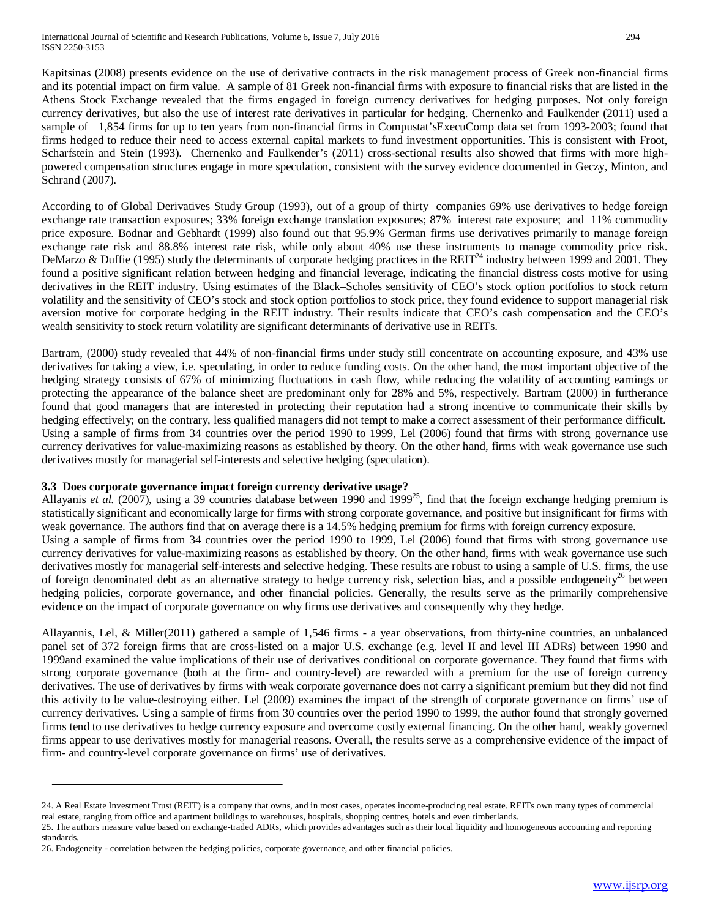Kapitsinas (2008) presents evidence on the use of derivative contracts in the risk management process of Greek non-financial firms and its potential impact on firm value. A sample of 81 Greek non-financial firms with exposure to financial risks that are listed in the Athens Stock Exchange revealed that the firms engaged in foreign currency derivatives for hedging purposes. Not only foreign currency derivatives, but also the use of interest rate derivatives in particular for hedging. Chernenko and Faulkender (2011) used a sample of 1,854 firms for up to ten years from non-financial firms in Compustat'sExecuComp data set from 1993-2003; found that firms hedged to reduce their need to access external capital markets to fund investment opportunities. This is consistent with Froot, Scharfstein and Stein (1993). Chernenko and Faulkender's (2011) cross-sectional results also showed that firms with more highpowered compensation structures engage in more speculation, consistent with the survey evidence documented in Geczy, Minton, and Schrand (2007).

According to of Global Derivatives Study Group (1993), out of a group of thirty companies 69% use derivatives to hedge foreign exchange rate transaction exposures; 33% foreign exchange translation exposures; 87% interest rate exposure; and 11% commodity price exposure. Bodnar and Gebhardt (1999) also found out that 95.9% German firms use derivatives primarily to manage foreign exchange rate risk and 88.8% interest rate risk, while only about 40% use these instruments to manage commodity price risk. DeMarzo & Duffie (1995) study the determinants of corporate hedging practices in the REIT<sup>24</sup> industry between 1999 and 2001. They found a positive significant relation between hedging and financial leverage, indicating the financial distress costs motive for using derivatives in the REIT industry. Using estimates of the Black–Scholes sensitivity of CEO's stock option portfolios to stock return volatility and the sensitivity of CEO's stock and stock option portfolios to stock price, they found evidence to support managerial risk aversion motive for corporate hedging in the REIT industry. Their results indicate that CEO's cash compensation and the CEO's wealth sensitivity to stock return volatility are significant determinants of derivative use in REITs.

Bartram, (2000) study revealed that 44% of non-financial firms under study still concentrate on accounting exposure, and 43% use derivatives for taking a view, i.e. speculating, in order to reduce funding costs. On the other hand, the most important objective of the hedging strategy consists of 67% of minimizing fluctuations in cash flow, while reducing the volatility of accounting earnings or protecting the appearance of the balance sheet are predominant only for 28% and 5%, respectively. Bartram (2000) in furtherance found that good managers that are interested in protecting their reputation had a strong incentive to communicate their skills by hedging effectively; on the contrary, less qualified managers did not tempt to make a correct assessment of their performance difficult. Using a sample of firms from 34 countries over the period 1990 to 1999, Lel (2006) found that firms with strong governance use currency derivatives for value-maximizing reasons as established by theory. On the other hand, firms with weak governance use such derivatives mostly for managerial self-interests and selective hedging (speculation).

# **3.3 Does corporate governance impact foreign currency derivative usage?**

Allayanis et al. (2007), using a 39 countries database between 1990 and 1999<sup>25</sup>, find that the foreign exchange hedging premium is statistically significant and economically large for firms with strong corporate governance, and positive but insignificant for firms with weak governance. The authors find that on average there is a 14.5% hedging premium for firms with foreign currency exposure. Using a sample of firms from 34 countries over the period 1990 to 1999, Lel (2006) found that firms with strong governance use currency derivatives for value-maximizing reasons as established by theory. On the other hand, firms with weak governance use such derivatives mostly for managerial self-interests and selective hedging. These results are robust to using a sample of U.S. firms, the use of foreign denominated debt as an alternative strategy to hedge currency risk, selection bias, and a possible endogeneity<sup>26</sup> between hedging policies, corporate governance, and other financial policies. Generally, the results serve as the primarily comprehensive evidence on the impact of corporate governance on why firms use derivatives and consequently why they hedge.

Allayannis, Lel, & Miller(2011) gathered a sample of 1,546 firms - a year observations, from thirty-nine countries, an unbalanced panel set of 372 foreign firms that are cross-listed on a major U.S. exchange (e.g. level II and level III ADRs) between 1990 and 1999and examined the value implications of their use of derivatives conditional on corporate governance. They found that firms with strong corporate governance (both at the firm- and country-level) are rewarded with a premium for the use of foreign currency derivatives. The use of derivatives by firms with weak corporate governance does not carry a significant premium but they did not find this activity to be value-destroying either. Lel (2009) examines the impact of the strength of corporate governance on firms' use of currency derivatives. Using a sample of firms from 30 countries over the period 1990 to 1999, the author found that strongly governed firms tend to use derivatives to hedge currency exposure and overcome costly external financing. On the other hand, weakly governed firms appear to use derivatives mostly for managerial reasons. Overall, the results serve as a comprehensive evidence of the impact of firm- and country-level corporate governance on firms' use of derivatives.

<sup>24.</sup> A Real Estate Investment Trust (REIT) is a company that owns, and in most cases, operates income-producing real estate. REITs own many types of commercial real estate, ranging from office and apartment buildings to warehouses, hospitals, shopping centres, hotels and even timberlands.

<sup>25.</sup> The authors measure value based on exchange-traded ADRs, which provides advantages such as their local liquidity and homogeneous accounting and reporting standards.

<sup>26.</sup> Endogeneity - [correlation](http://en.wikipedia.org/wiki/Correlation) between the hedging policies, corporate governance, and other financial policies.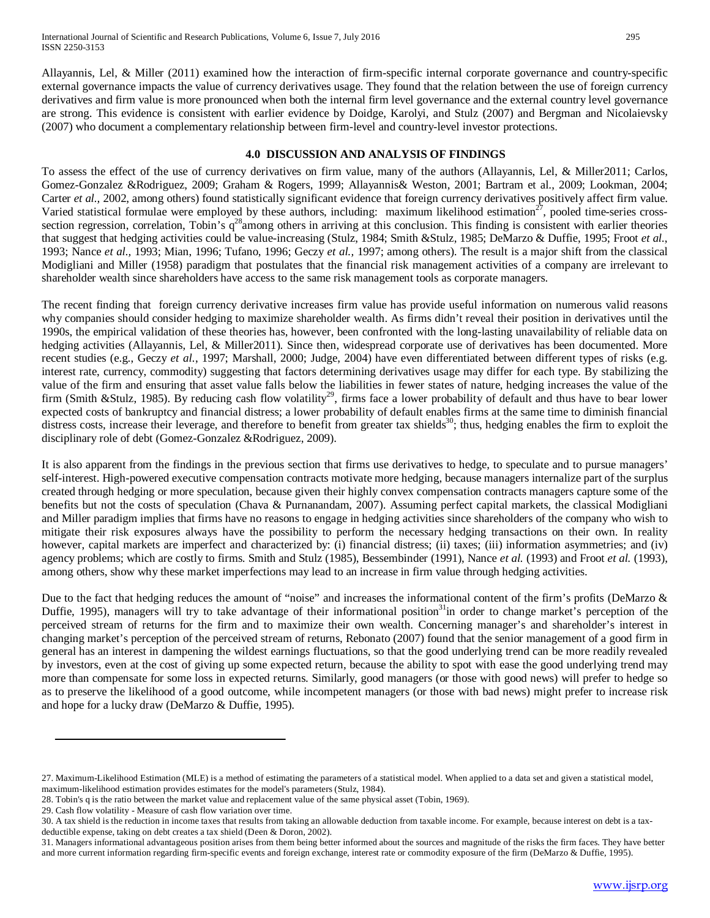Allayannis, Lel, & Miller (2011) examined how the interaction of firm-specific internal corporate governance and country-specific external governance impacts the value of currency derivatives usage. They found that the relation between the use of foreign currency derivatives and firm value is more pronounced when both the internal firm level governance and the external country level governance are strong. This evidence is consistent with earlier evidence by Doidge, Karolyi, and Stulz (2007) and Bergman and Nicolaievsky (2007) who document a complementary relationship between firm-level and country-level investor protections.

## **4.0 DISCUSSION AND ANALYSIS OF FINDINGS**

To assess the effect of the use of currency derivatives on firm value, many of the authors (Allayannis, Lel, & Miller2011; Carlos, Gomez-Gonzalez &Rodriguez, 2009; Graham & Rogers, 1999; Allayannis& Weston, 2001; Bartram et al., 2009; Lookman, 2004; Carter *et al.,* 2002, among others) found statistically significant evidence that foreign currency derivatives positively affect firm value. Varied statistical formulae were employed by these authors, including: maximum likelihood estimation $27$ , pooled time-series crosssection regression, correlation, Tobin's  $q^{28}$ among others in arriving at this conclusion. This finding is consistent with earlier theories that suggest that hedging activities could be value-increasing (Stulz, 1984; Smith &Stulz, 1985; DeMarzo & Duffie, 1995; Froot *et al.*, 1993; Nance *et al.,* 1993; Mian, 1996; Tufano, 1996; Geczy *et al.,* 1997; among others). The result is a major shift from the classical Modigliani and Miller (1958) paradigm that postulates that the financial risk management activities of a company are irrelevant to shareholder wealth since shareholders have access to the same risk management tools as corporate managers.

The recent finding that foreign currency derivative increases firm value has provide useful information on numerous valid reasons why companies should consider hedging to maximize shareholder wealth. As firms didn't reveal their position in derivatives until the 1990s, the empirical validation of these theories has, however, been confronted with the long-lasting unavailability of reliable data on hedging activities (Allayannis, Lel, & Miller2011). Since then, widespread corporate use of derivatives has been documented. More recent studies (e.g., Geczy *et al.*, 1997; Marshall, 2000; Judge, 2004) have even differentiated between different types of risks (e.g. interest rate, currency, commodity) suggesting that factors determining derivatives usage may differ for each type. By stabilizing the value of the firm and ensuring that asset value falls below the liabilities in fewer states of nature, hedging increases the value of the firm (Smith &Stulz, 1985). By reducing cash flow volatility<sup>29</sup>, firms face a lower probability of default and thus have to bear lower expected costs of bankruptcy and financial distress; a lower probability of default enables firms at the same time to diminish financial distress costs, increase their leverage, and therefore to benefit from greater tax shields<sup>30</sup>; thus, hedging enables the firm to exploit the disciplinary role of debt (Gomez-Gonzalez &Rodriguez, 2009).

It is also apparent from the findings in the previous section that firms use derivatives to hedge, to speculate and to pursue managers' self-interest. High-powered executive compensation contracts motivate more hedging, because managers internalize part of the surplus created through hedging or more speculation, because given their highly convex compensation contracts managers capture some of the benefits but not the costs of speculation (Chava & Purnanandam, 2007). Assuming perfect capital markets, the classical Modigliani and Miller paradigm implies that firms have no reasons to engage in hedging activities since shareholders of the company who wish to mitigate their risk exposures always have the possibility to perform the necessary hedging transactions on their own. In reality however, capital markets are imperfect and characterized by: (i) financial distress; (ii) taxes; (iii) information asymmetries; and (iv) agency problems; which are costly to firms. Smith and Stulz (1985), Bessembinder (1991), Nance *et al.* (1993) and Froot *et al.* (1993), among others, show why these market imperfections may lead to an increase in firm value through hedging activities.

Due to the fact that hedging reduces the amount of "noise" and increases the informational content of the firm's profits (DeMarzo & Duffie, 1995), managers will try to take advantage of their informational position<sup>31</sup>in order to change market's perception of the perceived stream of returns for the firm and to maximize their own wealth. Concerning manager's and shareholder's interest in changing market's perception of the perceived stream of returns, Rebonato (2007) found that the senior management of a good firm in general has an interest in dampening the wildest earnings fluctuations, so that the good underlying trend can be more readily revealed by investors, even at the cost of giving up some expected return, because the ability to spot with ease the good underlying trend may more than compensate for some loss in expected returns. Similarly, good managers (or those with good news) will prefer to hedge so as to preserve the likelihood of a good outcome, while incompetent managers (or those with bad news) might prefer to increase risk and hope for a lucky draw (DeMarzo & Duffie, 1995).

29. Cash flow volatility - Measure of cash flow variation over time.

<sup>27.</sup> Maximum-Likelihood Estimation (MLE) is a method o[f estimating](http://en.wikipedia.org/wiki/Estimator) th[e parameters](http://en.wikipedia.org/wiki/Parameter) of a [statistical model.](http://en.wikipedia.org/wiki/Statistical_model) When applied to a data set and given [a statistical model,](http://en.wikipedia.org/wiki/Statistical_model)  maximum-likelihood estimation provide[s estimates](http://en.wikipedia.org/wiki/Estimator) for the model's parameters (Stulz, 1984).

<sup>28.</sup> Tobin's q is the ratio between the market value and replacement value of the same physical asset [\(Tobin,](http://en.wikipedia.org/wiki/James_Tobin) 1969).

<sup>30.</sup> A tax shield is the reduction i[n income taxes](http://en.wikipedia.org/wiki/Income_tax) that results from taking an allowabl[e deduction](http://en.wikipedia.org/wiki/Itemized_deduction) fro[m taxable income.](http://en.wikipedia.org/wiki/Taxable_income) For example, because interest on [debt](http://en.wikipedia.org/wiki/Debt) is a taxdeductible expense, taking on debt creates a tax shield (Deen & Doron, 2002).

<sup>31.</sup> Managers informational advantageous position arises from them being better informed about the sources and magnitude of the risks the firm faces. They have better and more current information regarding firm-specific events and foreign exchange, interest rate or commodity exposure of the firm (DeMarzo & Duffie, 1995).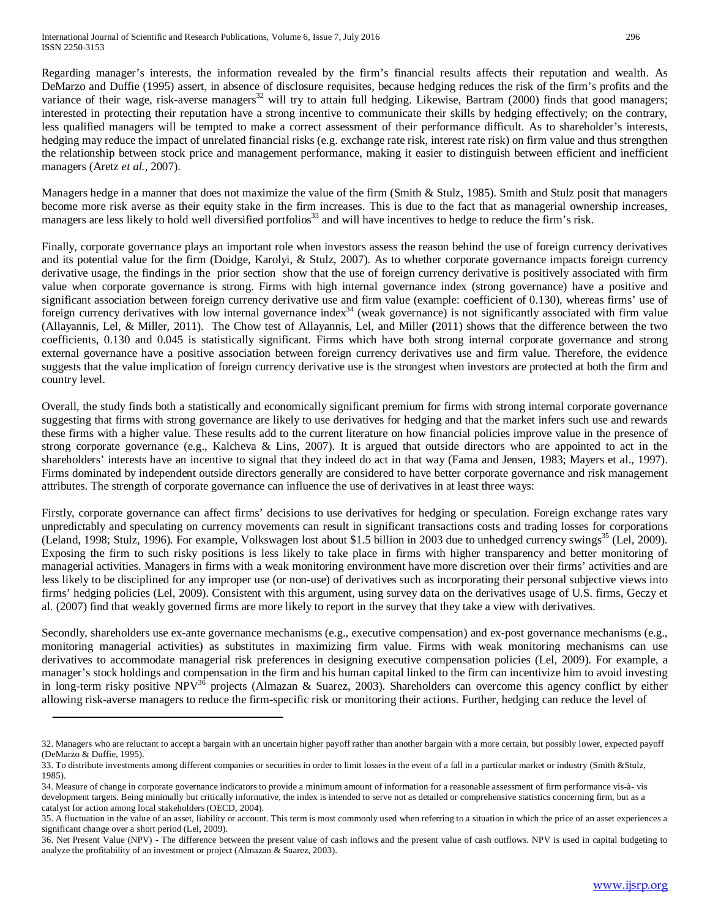Regarding manager's interests, the information revealed by the firm's financial results affects their reputation and wealth. As DeMarzo and Duffie (1995) assert, in absence of disclosure requisites, because hedging reduces the risk of the firm's profits and the variance of their wage, risk-averse managers<sup>32</sup> will try to attain full hedging. Likewise, Bartram (2000) finds that good managers; interested in protecting their reputation have a strong incentive to communicate their skills by hedging effectively; on the contrary, less qualified managers will be tempted to make a correct assessment of their performance difficult. As to shareholder's interests, hedging may reduce the impact of unrelated financial risks (e.g. exchange rate risk, interest rate risk) on firm value and thus strengthen the relationship between stock price and management performance, making it easier to distinguish between efficient and inefficient managers (Aretz *et al.*, 2007).

Managers hedge in a manner that does not maximize the value of the firm (Smith & Stulz, 1985). Smith and Stulz posit that managers become more risk averse as their equity stake in the firm increases. This is due to the fact that as managerial ownership increases, managers are less likely to hold well diversified portfolios<sup>33</sup> and will have incentives to hedge to reduce the firm's risk.

Finally, corporate governance plays an important role when investors assess the reason behind the use of foreign currency derivatives and its potential value for the firm (Doidge, Karolyi, & Stulz, 2007). As to whether corporate governance impacts foreign currency derivative usage, the findings in the prior section show that the use of foreign currency derivative is positively associated with firm value when corporate governance is strong. Firms with high internal governance index (strong governance) have a positive and significant association between foreign currency derivative use and firm value (example: coefficient of 0.130), whereas firms' use of foreign currency derivatives with low internal governance index<sup>34</sup> (weak governance) is not significantly associated with firm value (Allayannis, Lel, & Miller, 2011). The Chow test of Allayannis, Lel, and Miller **(**2011) shows that the difference between the two coefficients, 0.130 and 0.045 is statistically significant. Firms which have both strong internal corporate governance and strong external governance have a positive association between foreign currency derivatives use and firm value. Therefore, the evidence suggests that the value implication of foreign currency derivative use is the strongest when investors are protected at both the firm and country level.

Overall, the study finds both a statistically and economically significant premium for firms with strong internal corporate governance suggesting that firms with strong governance are likely to use derivatives for hedging and that the market infers such use and rewards these firms with a higher value. These results add to the current literature on how financial policies improve value in the presence of strong corporate governance (e.g., Kalcheva & Lins, 2007). It is argued that outside directors who are appointed to act in the shareholders' interests have an incentive to signal that they indeed do act in that way (Fama and Jensen, 1983; Mayers et al., 1997). Firms dominated by independent outside directors generally are considered to have better corporate governance and risk management attributes. The strength of corporate governance can influence the use of derivatives in at least three ways:

Firstly, corporate governance can affect firms' decisions to use derivatives for hedging or speculation. Foreign exchange rates vary unpredictably and speculating on currency movements can result in significant transactions costs and trading losses for corporations (Leland, 1998; Stulz, 1996). For example, Volkswagen lost about \$1.5 billion in 2003 due to unhedged currency swings $35$  (Lel, 2009). Exposing the firm to such risky positions is less likely to take place in firms with higher transparency and better monitoring of managerial activities. Managers in firms with a weak monitoring environment have more discretion over their firms' activities and are less likely to be disciplined for any improper use (or non-use) of derivatives such as incorporating their personal subjective views into firms' hedging policies (Lel, 2009). Consistent with this argument, using survey data on the derivatives usage of U.S. firms, Geczy et al. (2007) find that weakly governed firms are more likely to report in the survey that they take a view with derivatives.

Secondly, shareholders use ex-ante governance mechanisms (e.g., executive compensation) and ex-post governance mechanisms (e.g., monitoring managerial activities) as substitutes in maximizing firm value. Firms with weak monitoring mechanisms can use derivatives to accommodate managerial risk preferences in designing executive compensation policies (Lel, 2009). For example, a manager's stock holdings and compensation in the firm and his human capital linked to the firm can incentivize him to avoid investing in long-term risky positive NPV<sup>36</sup> projects (Almazan & Suarez, 2003). Shareholders can overcome this agency conflict by either allowing risk-averse managers to reduce the firm-specific risk or monitoring their actions. Further, hedging can reduce the level of

<sup>32.</sup> Managers who are reluctant to accept a bargain with an uncertain higher payoff rather than another bargain with a more certain, but possibly lower[, expected payoff](http://en.wikipedia.org/wiki/Expected_value) (DeMarzo & Duffie, 1995).

<sup>33.</sup> To distribute investments among different companies or securities in order to limit losses in the event of a fall in a particular market or industry (Smith &Stulz, 1985).

<sup>34.</sup> Measure of change in corporate governance indicators to provide a minimum amount of information for a reasonable assessment of firm performance vis-à- vis development targets. Being minimally but critically informative, the index is intended to serve not as detailed or comprehensive statistics concerning firm, but as a catalyst for action among local stakeholders (OECD, 2004).

<sup>35.</sup> A fluctuation in the value of an asset, liability or account. This term is most commonly used when referring to a situation in which the price of an asset experiences a significant change over a short period (Lel, 2009).

<sup>36.</sup> Net Present Value (NPV) - The difference between the present value of cash inflows and the present value of cash outflows. NPV is used in capital budgeting to analyze the profitability of an investment or project (Almazan & Suarez, 2003).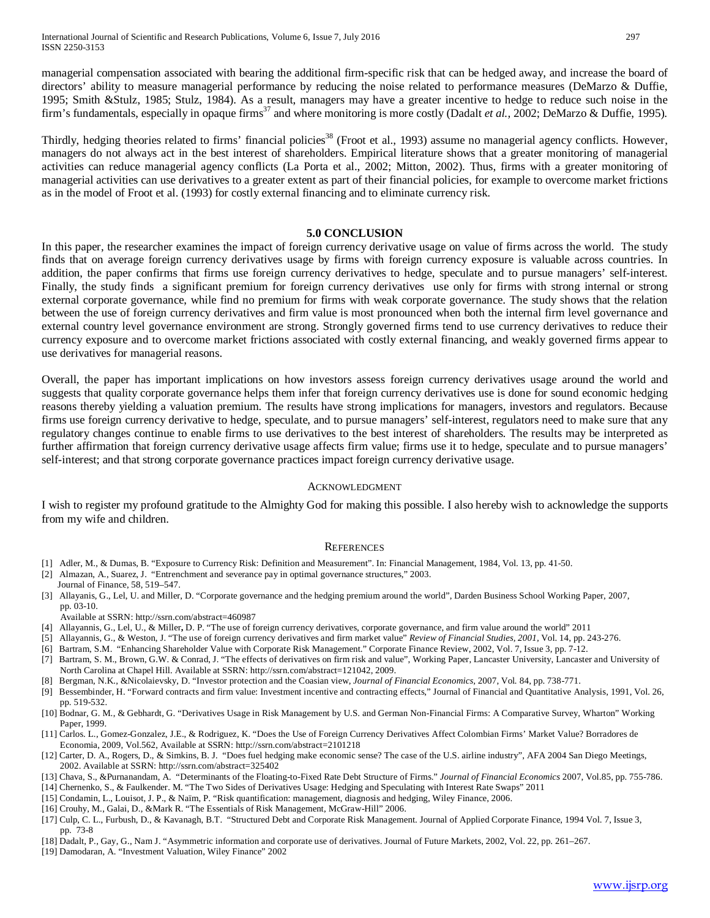managerial compensation associated with bearing the additional firm-specific risk that can be hedged away, and increase the board of directors' ability to measure managerial performance by reducing the noise related to performance measures (DeMarzo & Duffie, 1995; Smith &Stulz, 1985; Stulz, 1984). As a result, managers may have a greater incentive to hedge to reduce such noise in the firm's fundamentals, especially in opaque firms<sup>37</sup> and where monitoring is more costly (Dadalt *et al.*, 2002; DeMarzo & Duffie, 1995).

Thirdly, hedging theories related to firms' financial policies<sup>38</sup> (Froot et al., 1993) assume no managerial agency conflicts. However, managers do not always act in the best interest of shareholders. Empirical literature shows that a greater monitoring of managerial activities can reduce managerial agency conflicts (La Porta et al., 2002; Mitton, 2002). Thus, firms with a greater monitoring of managerial activities can use derivatives to a greater extent as part of their financial policies, for example to overcome market frictions as in the model of Froot et al. (1993) for costly external financing and to eliminate currency risk.

#### **5.0 CONCLUSION**

In this paper, the researcher examines the impact of foreign currency derivative usage on value of firms across the world. The study finds that on average foreign currency derivatives usage by firms with foreign currency exposure is valuable across countries. In addition, the paper confirms that firms use foreign currency derivatives to hedge, speculate and to pursue managers' self-interest. Finally, the study finds a significant premium for foreign currency derivatives use only for firms with strong internal or strong external corporate governance, while find no premium for firms with weak corporate governance. The study shows that the relation between the use of foreign currency derivatives and firm value is most pronounced when both the internal firm level governance and external country level governance environment are strong. Strongly governed firms tend to use currency derivatives to reduce their currency exposure and to overcome market frictions associated with costly external financing, and weakly governed firms appear to use derivatives for managerial reasons.

Overall, the paper has important implications on how investors assess foreign currency derivatives usage around the world and suggests that quality corporate governance helps them infer that foreign currency derivatives use is done for sound economic hedging reasons thereby yielding a valuation premium. The results have strong implications for managers, investors and regulators. Because firms use foreign currency derivative to hedge, speculate, and to pursue managers' self-interest, regulators need to make sure that any regulatory changes continue to enable firms to use derivatives to the best interest of shareholders. The results may be interpreted as further affirmation that foreign currency derivative usage affects firm value; firms use it to hedge, speculate and to pursue managers' self-interest; and that strong corporate governance practices impact foreign currency derivative usage.

#### ACKNOWLEDGMENT

I wish to register my profound gratitude to the Almighty God for making this possible. I also hereby wish to acknowledge the supports from my wife and children.

#### **REFERENCES**

- [1] Adler, M., & Dumas, B. "Exposure to Currency Risk: Definition and Measurement". In: Financial Management, 1984, Vol. 13, pp. 41-50.
- [2] Almazan, A., Suarez, J. "Entrenchment and severance pay in optimal governance structures," 2003.
- Journal of Finance, 58, 519–547. [3] Allayanis, G., Lel, U. and Miller, D. "Corporate governance and the hedging premium around the world", Darden Business School Working Paper, 2007, pp. 03-10.
- Available at SSRN:<http://ssrn.com/abstract=460987>
- [4] Allayannis, G., Lel, U., & Miller**,** D. P. "The use of foreign currency derivatives, corporate governance, and firm value around the world" 2011
- [5] Allayannis, G., & Weston, J. "The use of foreign currency derivatives and firm market value" *Review of Financial Studies, 2001,* Vol. 14, pp. 243-276.
- [6] Bartram, S.M. "Enhancing Shareholder Value with Corporate Risk Management." Corporate Finance Review, 2002, Vol. 7, Issue 3, pp. 7-12.
- [7] Bartram, S. M., Brown, G.W. & Conrad, J. "The effects of derivatives on firm risk and value", Working Paper, Lancaster University, Lancaster and University of North Carolina at Chapel Hill. Available at SSRN: [http://ssrn.com/abstract=121042,](http://ssrn.com/abstract=121042) 2009.
- [8] Bergman, N.K., &Nicolaievsky, D. "Investor protection and the Coasian view, *Journal of Financial Economics,* 2007, Vol*.* 84, pp. 738-771.
- [9] Bessembinder, H. "Forward contracts and firm value: Investment incentive and contracting effects," Journal of Financial and Quantitative Analysis, 1991, Vol. 26, pp. 519-532.
- [10] Bodnar, G. M., & Gebhardt, G. "Derivatives Usage in Risk Management by U.S. and German Non-Financial Firms: A Comparative Survey, Wharton" Working Paper, 1999.
- [11] Carlos. L., Gomez-Gonzalez, J.E., & Rodriguez, K. "Does the Use of Foreign Currency Derivatives Affect Colombian Firms' Market Value? Borradores de Economia, 2009, Vol.562, Available at SSRN[: http://ssrn.com/abstract=2101218](http://ssrn.com/abstract=2101218)
- [12] Carter, D. A., Rogers, D., & Simkins, B. J. "Does fuel hedging make economic sense? The case of the U.S. airline industry", AFA 2004 San Diego Meetings, 2002. Available at SSRN: http://ssrn.com/abstract=325402
- [13] Chava, S., &Purnanandam, A. "Determinants of the Floating-to-Fixed Rate Debt Structure of Firms." *Journal of Financial Economics* 2007, Vol*.*85, pp. 755-786.
- [14] Chernenko, S., & Faulkender. M. "The Two Sides of Derivatives Usage: Hedging and Speculating with Interest Rate Swaps" 2011
- [15] Condamin, L., Louisot, J. P., & Naïm, P. "Risk quantification: management, diagnosis and hedging, Wiley Finance, 2006.
- [16] Crouhy, M., Galai, D., &Mark R. "The Essentials of Risk Management, McGraw-Hill" 2006.
- [17] Culp, C. L., Furbush, D., & Kavanagh, B.T. "Structured Debt and Corporate Risk Management. Journal of Applied Corporate Finance, 1994 Vol. 7, Issue 3, pp. 73-8
- [18] Dadalt, P., Gay, G., Nam J. "Asymmetric information and corporate use of derivatives. Journal of Future Markets, 2002, Vol. 22, pp. 261–267.
- [19] Damodaran, A. "Investment Valuation, Wiley Finance" 2002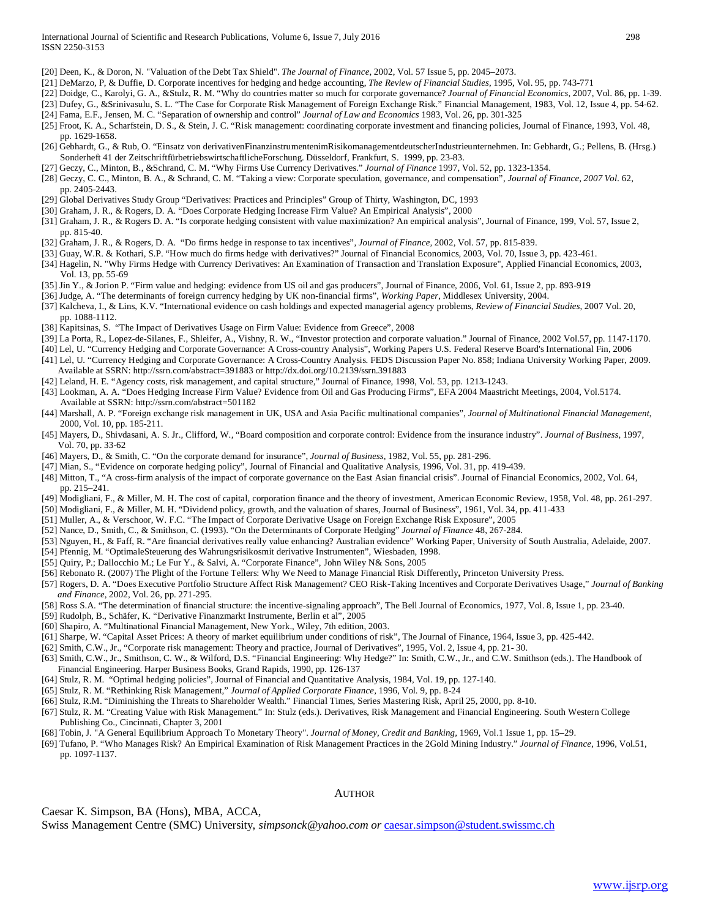[20] Deen, K., & Doron, N[. "Valuation of the Debt Tax Shield".](http://www.columbia.edu/~dn75/valuation%20of%20the%20debt%20tax%20shild.pdf) *The Journal of Finance,* 2002, Vol. 57 Issue 5, pp. 2045–2073.

- [21] DeMarzo, P, & Duffie, D. Corporate incentives for hedging and hedge accounting, *The Review of Financial Studies*, 1995, Vol. 95, pp. 743-771
- [22] Doidge, C., Karolyi, G. A., &Stulz, R. M. "Why do countries matter so much for corporate governance? *Journal of Financial Economics,* 2007, Vol*.* 86, pp. 1-39.
- [23] Dufey, G., &Srinivasulu, S. L. "The Case for Corporate Risk Management of Foreign Exchange Risk." Financial Management, 1983, Vol. 12, Issue 4, pp. 54-62.
- [24] Fama, E.F., Jensen, M. C. "Separation of ownership and control" *Journal of Law and Economics* 1983, Vol. 26, pp. 301-325
- [25] Froot, K. A., Scharfstein, D. S., & Stein, J. C. "Risk management: coordinating corporate investment and financing policies, Journal of Finance, 1993, Vol. 48, pp. 1629-1658.
- [26] Gebhardt, G., & Rub, O. "Einsatz von derivativenFinanzinstrumentenimRisikomanagementdeutscherIndustrieunternehmen. In: Gebhardt, G.; Pellens, B. (Hrsg.) Sonderheft 41 der ZeitschriftfürbetriebswirtschaftlicheForschung. Düsseldorf, Frankfurt, S. 1999, pp. 23-83.
- [27] Geczy, C., Minton, B., &Schrand, C. M. "Why Firms Use Currency Derivatives." *Journal of Finance* 1997, Vol. 52, pp. 1323-1354.
- [28] Geczy, C. C., Minton, B. A., & Schrand, C. M. "Taking a view: Corporate speculation, governance, and compensation", *Journal of Finance, 2007 Vol.* 62, pp. 2405-2443.
- [29] Global Derivatives Study Group "Derivatives: Practices and Principles" Group of Thirty, Washington, DC, 1993
- [30] Graham, J. R., & Rogers, D. A. "Does Corporate Hedging Increase Firm Value? An Empirical Analysis", 2000
- [31] Graham, J. R., & Rogers D. A. "Is corporate hedging consistent with value maximization? An empirical analysis", Journal of Finance, 199, Vol. 57, Issue 2, pp. 815-40.
- [32] Graham, J. R., & Rogers, D. A. "Do firms hedge in response to tax incentives", *Journal of Finance,* 2002, Vol. 57, pp. 815-839.
- [33] Guay, W.R. & Kothari, S.P. "How much do firms hedge with derivatives?" Journal of Financial Economics, 2003, Vol. 70, Issue 3, pp. 423-461.
- [34] Hagelin, N. "Why Firms Hedge with Currency Derivatives: An Examination of Transaction and Translation Exposure", Applied Financial Economics, 2003, Vol. 13, pp. 55-69
- [35] Jin Y., & Jorion P. "Firm value and hedging: evidence from US oil and gas producers", Journal of Finance, 2006, Vol. 61, Issue 2, pp. 893-919
- [36] Judge, A. "The determinants of foreign currency hedging by UK non-financial firms", *Working Paper*, Middlesex University, 2004.
- [37] Kalcheva, I., & Lins, K.V. "International evidence on cash holdings and expected managerial agency problems, *Review of Financial Studies,* 2007 Vol. 20, pp. 1088-1112.
- [38] Kapitsinas, S. "The Impact of Derivatives Usage on Firm Value: Evidence from Greece", 2008
- [39] La Porta, R., Lopez-de-Silanes, F., Shleifer, A., Vishny, R. W., "Investor protection and corporate valuation." Journal of Finance, 2002 Vol.57, pp. 1147-1170.
- [40] Lel, U. "Currency Hedging and Corporate Governance: A Cross-country Analysis", Working Papers U.S. Federal Reserve Board's International Fin, 2006
- [41] Lel, U. "Currency Hedging and Corporate Governance: A Cross-Country Analysis. FEDS Discussion Paper No. 858; Indiana University Working Paper, 2009. Available at SSRN:<http://ssrn.com/abstract=391883> o[r http://dx.doi.org/10.2139/ssrn.391883](http://dx.doi.org/10.2139/ssrn.391883)
- [42] Leland, H. E. "Agency costs, risk management, and capital structure," Journal of Finance, 1998, Vol. 53, pp. 1213-1243.
- [43] Lookman, A. A. "Does Hedging Increase Firm Value? Evidence from Oil and Gas Producing Firms", EFA 2004 Maastricht Meetings, 2004, Vol.5174. Available at SSRN: http://ssrn.com/abstract=501182
- [44] Marshall, A. P. "Foreign exchange risk management in UK, USA and Asia Pacific multinational companies", *Journal of Multinational Financial Management*, 2000, Vol. 10, pp. 185-211.
- [45] Mayers, D., Shivdasani, A. S. Jr., Clifford, W., "Board composition and corporate control: Evidence from the insurance industry". *Journal of Business,* 1997, Vol. 70, pp. 33-62
- [46] Mayers, D., & Smith, C. "On the corporate demand for insurance", *Journal of Business,* 1982, Vol. 55, pp. 281-296.
- [47] Mian, S., "Evidence on corporate hedging policy", Journal of Financial and Qualitative Analysis, 1996, Vol. 31, pp. 419-439.
- [48] Mitton, T., "A cross-firm analysis of the impact of corporate governance on the East Asian financial crisis". Journal of Financial Economics, 2002, Vol. 64, pp. 215–241.
- [49] Modigliani, F., & Miller, M. H. The cost of capital, corporation finance and the theory of investment, American Economic Review, 1958, Vol. 48, pp. 261-297.
- [50] Modigliani, F., & Miller, M. H. "Dividend policy, growth, and the valuation of shares, Journal of Business", 1961, Vol. 34, pp. 411-433
- [51] Muller, A., & Verschoor, W. F.C. "The Impact of Corporate Derivative Usage on Foreign Exchange Risk Exposure", 2005
- [52] Nance, D., Smith, C., & Smithson, C. (1993). "On the Determinants of Corporate Hedging" *Journal of Finance* 48, 267-284.
- [53] Nguyen, H., & Faff, R. "Are financial derivatives really value enhancing? Australian evidence" Working Paper, University of South Australia, Adelaide, 2007.
- [54] Pfennig, M. "OptimaleSteuerung des Wahrungsrisikosmit derivative Instrumenten", Wiesbaden, 1998.
- [55] Quiry, P.; Dallocchio M.; Le Fur Y., & Salvi, A. "Corporate Finance", John Wiley N& Sons, 2005
- [56] Rebonato R. (2007) The Plight of the Fortune Tellers: Why We Need to Manage Financial Risk Differently**,** Princeton University Press.
- [57] Rogers, D. A. "Does Executive Portfolio Structure Affect Risk Management? CEO Risk-Taking Incentives and Corporate Derivatives Usage," *Journal of Banking and Finance,* 2002, Vol. 26, pp. 271-295.
- [58] Ross S.A. "The determination of financial structure: the incentive-signaling approach", The Bell Journal of Economics, 1977, Vol. 8, Issue 1, pp. 23-40.
- [59] Rudolph, B., Schäfer, K. "Derivative Finanzmarkt Instrumente, Berlin et al", 2005
- [60] Shapiro, A. "Multinational Financial Management, New York., Wiley, 7th edition, 2003.
- [61] Sharpe, W. "Capital Asset Prices: A theory of market equilibrium under conditions of risk", The Journal of Finance, 1964, Issue 3, pp. 425-442.
- [62] Smith, C.W., Jr., "Corporate risk management: Theory and practice, Journal of Derivatives", 1995, Vol. 2, Issue 4, pp. 21- 30.
- [63] Smith, C.W., Jr., Smithson, C. W., & Wilford, D.S. "Financial Engineering: Why Hedge?" In: Smith, C.W., Jr., and C.W. Smithson (eds.). The Handbook of Financial Engineering. Harper Business Books, Grand Rapids, 1990, pp. 126-137
- [64] Stulz, R. M. "Optimal hedging policies", Journal of Financial and Quantitative Analysis, 1984, Vol. 19, pp. 127-140.
- [65] Stulz, R. M. "Rethinking Risk Management," *Journal of Applied Corporate Finance,* 1996, Vol. 9, pp. 8-24
- [66] Stulz, R.M. "Diminishing the Threats to Shareholder Wealth." Financial Times, Series Mastering Risk, April 25, 2000, pp. 8-10.
- [67] Stulz, R. M. "Creating Value with Risk Management." In: Stulz (eds.). Derivatives, Risk Management and Financial Engineering. South Western College Publishing Co., Cincinnati, Chapter 3, 2001
- [68] Tobin, J. "A General Equilibrium Approach To Monetary Theory". *Journal of Money, Credit and Banking,* 1969, Vol.1 Issue 1, pp. 15–29.
- [69] Tufano, P. "Who Manages Risk? An Empirical Examination of Risk Management Practices in the 2Gold Mining Industry." *Journal of Finance,* 1996, Vol.51, pp. 1097-1137.

#### AUTHOR

Caesar K. Simpson, BA (Hons), MBA, ACCA,

Swiss Management Centre (SMC) University, *simpsonck@yahoo.com or* [caesar.simpson@student.swissmc.ch](mailto:caesar.simpson@student.swissmc.ch)